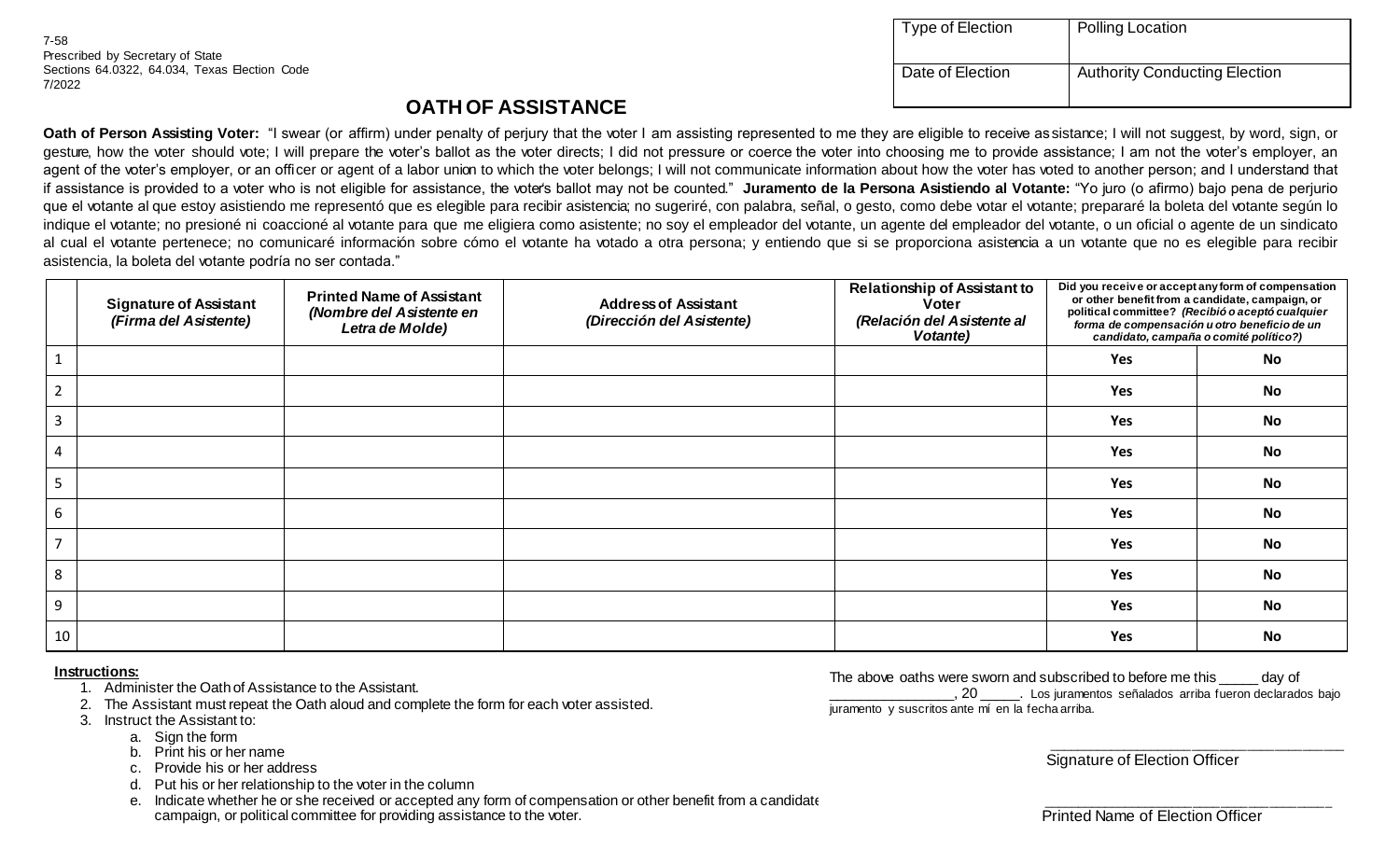7-58 Prescribed by Secretary of State Sections 64.0322, 64.034, Texas Election Code 7/2022

| Type of Election | Polling Location                     |
|------------------|--------------------------------------|
| Date of Election | <b>Authority Conducting Election</b> |

## **OATH OF ASSISTANCE**

**Oath of Person Assisting Voter:** "I swear (or affirm) under penalty of perjury that the voter I am assisting represented to me they are eligible to receive as sistance; I will not suggest, by word, sign, or gesture, how the voter should vote; I will prepare the voter's ballot as the voter directs; I did not pressure or coerce the voter into choosing me to provide assistance; I am not the voter's employer, an agent of the voter's employer, or an officer or agent of a labor union to which the voter belongs; I will not communicate information about how the voter has voted to another person; and I understand that if assistance is provided to a voter who is not eligible for assistance, the voter's ballot may not be counted." **Juramento de la Persona Asistiendo al Votante:** "Yo juro (o afirmo) bajo pena de perjurio que el votante al que estoy asistiendo me representó que es elegible para recibir asistencia; no sugeriré, con palabra, señal, o gesto, como debe votar el votante; prepararé la boleta del votante según lo indique el votante; no presioné ni coaccioné al votante para que me eligiera como asistente; no soy el empleador del votante, un agente del empleador del votante, o un oficial o agente de un sindicato al cual el votante pertenece; no comunicaré información sobre cómo el votante ha votado a otra persona; y entiendo que si se proporciona asistencia a un votante que no es elegible para recibir asistencia, la boleta del votante podría no ser contada."

|                | <b>Signature of Assistant</b><br>(Firma del Asistente) | <b>Printed Name of Assistant</b><br>(Nombre del Asistente en<br>Letra de Molde) | <b>Address of Assistant</b><br>(Dirección del Asistente) | <b>Relationship of Assistant to</b><br><b>Voter</b><br>(Relación del Asistente al<br>Votante) | Did you receive or accept any form of compensation<br>or other benefit from a candidate, campaign, or<br>political committee? (Recibió o aceptó cualquier<br>forma de compensación u otro beneficio de un<br>candidato, campaña o comité político?) |           |
|----------------|--------------------------------------------------------|---------------------------------------------------------------------------------|----------------------------------------------------------|-----------------------------------------------------------------------------------------------|-----------------------------------------------------------------------------------------------------------------------------------------------------------------------------------------------------------------------------------------------------|-----------|
|                |                                                        |                                                                                 |                                                          |                                                                                               | Yes                                                                                                                                                                                                                                                 | No        |
| $\overline{2}$ |                                                        |                                                                                 |                                                          |                                                                                               | Yes                                                                                                                                                                                                                                                 | <b>No</b> |
| 3              |                                                        |                                                                                 |                                                          |                                                                                               | Yes                                                                                                                                                                                                                                                 | <b>No</b> |
| 4              |                                                        |                                                                                 |                                                          |                                                                                               | Yes                                                                                                                                                                                                                                                 | <b>No</b> |
| 5              |                                                        |                                                                                 |                                                          |                                                                                               | Yes                                                                                                                                                                                                                                                 | <b>No</b> |
| 6              |                                                        |                                                                                 |                                                          |                                                                                               | Yes                                                                                                                                                                                                                                                 | <b>No</b> |
|                |                                                        |                                                                                 |                                                          |                                                                                               | Yes                                                                                                                                                                                                                                                 | <b>No</b> |
| 8              |                                                        |                                                                                 |                                                          |                                                                                               | Yes                                                                                                                                                                                                                                                 | <b>No</b> |
| 9              |                                                        |                                                                                 |                                                          |                                                                                               | Yes                                                                                                                                                                                                                                                 | <b>No</b> |
| 10             |                                                        |                                                                                 |                                                          |                                                                                               | <b>Yes</b>                                                                                                                                                                                                                                          | <b>No</b> |

## **Instructions:**

- 1. Administer the Oath of Assistance to the Assistant.
- 2. The Assistant must repeat the Oath aloud and complete the form for each voter assisted.
- 3. Instruct the Assistant to:
	- a. Sign the form
	- b. Print his or her name
	- c. Provide his or her address
	- d. Put his or her relationship to the voter in the column
	- e. Indicate whether he or she received or accepted any form of compensation or other benefit from a candidate campaign, or political committee for providing assistance to the voter.

The above oaths were sworn and subscribed to before me this equivor of \_\_\_\_\_\_\_\_\_\_\_\_\_\_\_\_, 20 \_\_\_\_\_. Los juramentos señalados arriba fueron declarados bajo juramento y suscritos ante mí en la fecha arriba.

Signature of Election Officer

\_\_\_\_\_\_\_\_\_\_\_\_\_\_\_\_\_\_\_\_\_\_\_\_\_\_\_\_\_\_\_\_\_\_\_\_\_\_\_\_\_\_\_